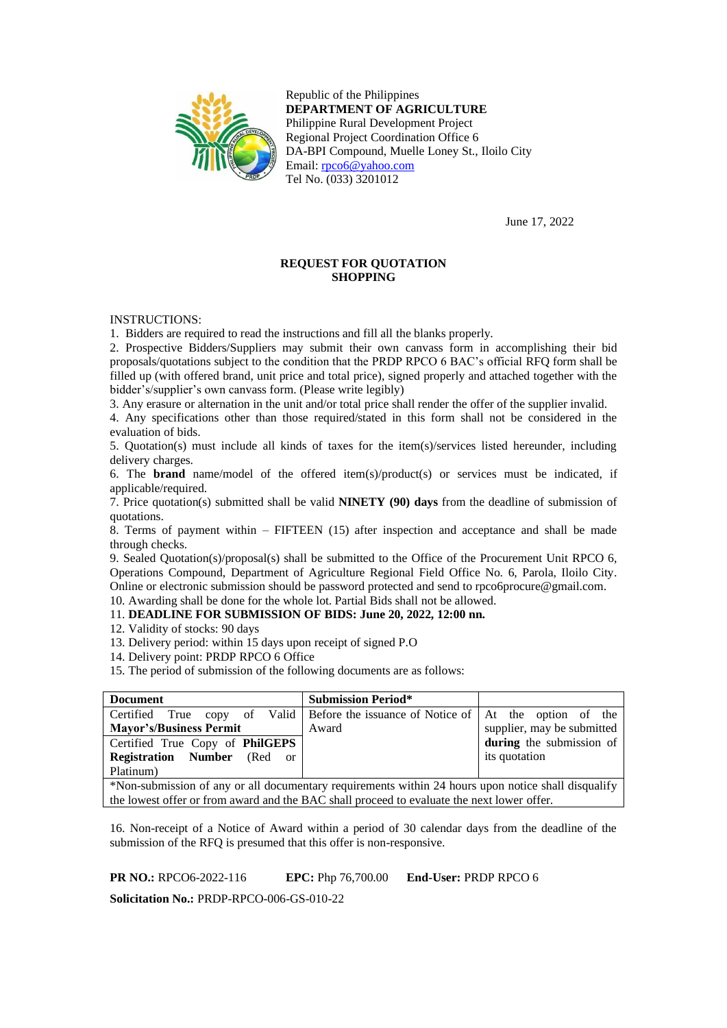

Republic of the Philippines **DEPARTMENT OF AGRICULTURE** Philippine Rural Development Project Regional Project Coordination Office 6 DA-BPI Compound, Muelle Loney St., Iloilo City Email: [rpco6@yahoo.com](mailto:rpco6@yahoo.com) Tel No. (033) 3201012

June 17, 2022

# **REQUEST FOR QUOTATION SHOPPING**

INSTRUCTIONS:

1. Bidders are required to read the instructions and fill all the blanks properly.

2. Prospective Bidders/Suppliers may submit their own canvass form in accomplishing their bid proposals/quotations subject to the condition that the PRDP RPCO 6 BAC's official RFQ form shall be filled up (with offered brand, unit price and total price), signed properly and attached together with the bidder's/supplier's own canvass form. (Please write legibly)

3. Any erasure or alternation in the unit and/or total price shall render the offer of the supplier invalid.

4. Any specifications other than those required/stated in this form shall not be considered in the evaluation of bids.

5. Quotation(s) must include all kinds of taxes for the item(s)/services listed hereunder, including delivery charges.

6. The **brand** name/model of the offered item(s)/product(s) or services must be indicated, if applicable/required.

7. Price quotation(s) submitted shall be valid **NINETY (90) days** from the deadline of submission of quotations.

8. Terms of payment within – FIFTEEN (15) after inspection and acceptance and shall be made through checks.

9. Sealed Quotation(s)/proposal(s) shall be submitted to the Office of the Procurement Unit RPCO 6, Operations Compound, Department of Agriculture Regional Field Office No. 6, Parola, Iloilo City. Online or electronic submission should be password protected and send to rpco6procure@gmail.com.

10. Awarding shall be done for the whole lot. Partial Bids shall not be allowed. 11. **DEADLINE FOR SUBMISSION OF BIDS: June 20, 2022, 12:00 nn.**

12. Validity of stocks: 90 days

13. Delivery period: within 15 days upon receipt of signed P.O

14. Delivery point: PRDP RPCO 6 Office

15. The period of submission of the following documents are as follows:

| <b>Submission Period*</b>                                                                           |                                 |  |  |  |  |
|-----------------------------------------------------------------------------------------------------|---------------------------------|--|--|--|--|
| Certified True copy of Valid Before the issuance of Notice of At the option of the                  |                                 |  |  |  |  |
| Award                                                                                               | supplier, may be submitted      |  |  |  |  |
|                                                                                                     | during the submission of        |  |  |  |  |
|                                                                                                     | its quotation                   |  |  |  |  |
|                                                                                                     |                                 |  |  |  |  |
| *Non-submission of any or all documentary requirements within 24 hours upon notice shall disqualify |                                 |  |  |  |  |
|                                                                                                     | Certified True Copy of PhilGEPS |  |  |  |  |

the lowest offer or from award and the BAC shall proceed to evaluate the next lower offer.

16. Non-receipt of a Notice of Award within a period of 30 calendar days from the deadline of the submission of the RFQ is presumed that this offer is non-responsive.

**PR NO.:** RPCO6-2022-116 **EPC:** Php 76,700.00 **End-User:** PRDP RPCO 6

**Solicitation No.:** PRDP-RPCO-006-GS-010-22